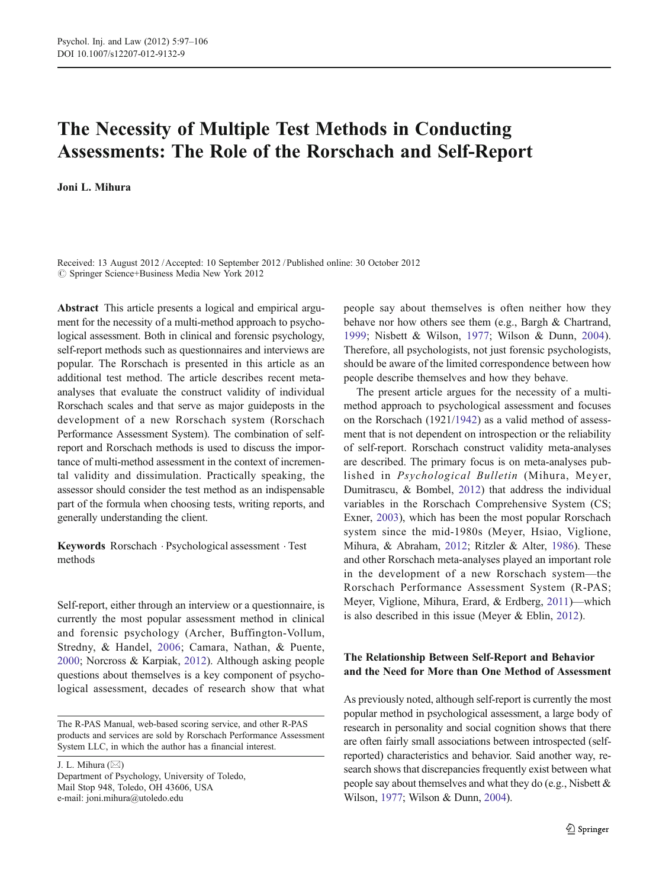# The Necessity of Multiple Test Methods in Conducting Assessments: The Role of the Rorschach and Self-Report

Joni L. Mihura

Received: 13 August 2012 /Accepted: 10 September 2012 / Published online: 30 October 2012  $\circledcirc$  Springer Science+Business Media New York 2012

Abstract This article presents a logical and empirical argument for the necessity of a multi-method approach to psychological assessment. Both in clinical and forensic psychology, self-report methods such as questionnaires and interviews are popular. The Rorschach is presented in this article as an additional test method. The article describes recent metaanalyses that evaluate the construct validity of individual Rorschach scales and that serve as major guideposts in the development of a new Rorschach system (Rorschach Performance Assessment System). The combination of selfreport and Rorschach methods is used to discuss the importance of multi-method assessment in the context of incremental validity and dissimulation. Practically speaking, the assessor should consider the test method as an indispensable part of the formula when choosing tests, writing reports, and generally understanding the client.

Keywords Rorschach . Psychological assessment . Test methods

Self-report, either through an interview or a questionnaire, is currently the most popular assessment method in clinical and forensic psychology (Archer, Buffington-Vollum, Stredny, & Handel, [2006](#page-6-0); Camara, Nathan, & Puente, [2000;](#page-7-0) Norcross & Karpiak, [2012](#page-8-0)). Although asking people questions about themselves is a key component of psychological assessment, decades of research show that what

J. L. Mihura  $(\boxtimes)$ Department of Psychology, University of Toledo, Mail Stop 948, Toledo, OH 43606, USA e-mail: joni.mihura@utoledo.edu

people say about themselves is often neither how they behave nor how others see them (e.g., Bargh & Chartrand, [1999](#page-6-0); Nisbett & Wilson, [1977;](#page-8-0) Wilson & Dunn, [2004](#page-9-0)). Therefore, all psychologists, not just forensic psychologists, should be aware of the limited correspondence between how people describe themselves and how they behave.

The present article argues for the necessity of a multimethod approach to psychological assessment and focuses on the Rorschach (1921/[1942](#page-8-0)) as a valid method of assessment that is not dependent on introspection or the reliability of self-report. Rorschach construct validity meta-analyses are described. The primary focus is on meta-analyses published in Psychological Bulletin (Mihura, Meyer, Dumitrascu, & Bombel, [2012](#page-8-0)) that address the individual variables in the Rorschach Comprehensive System (CS; Exner, [2003](#page-7-0)), which has been the most popular Rorschach system since the mid-1980s (Meyer, Hsiao, Viglione, Mihura, & Abraham, [2012](#page-8-0); Ritzler & Alter, [1986](#page-8-0)). These and other Rorschach meta-analyses played an important role in the development of a new Rorschach system—the Rorschach Performance Assessment System (R-PAS; Meyer, Viglione, Mihura, Erard, & Erdberg, [2011\)](#page-8-0)—which is also described in this issue (Meyer & Eblin, [2012\)](#page-8-0).

# The Relationship Between Self-Report and Behavior and the Need for More than One Method of Assessment

As previously noted, although self-report is currently the most popular method in psychological assessment, a large body of research in personality and social cognition shows that there are often fairly small associations between introspected (selfreported) characteristics and behavior. Said another way, research shows that discrepancies frequently exist between what people say about themselves and what they do (e.g., Nisbett & Wilson, [1977](#page-8-0); Wilson & Dunn, [2004\)](#page-9-0).

The R-PAS Manual, web-based scoring service, and other R-PAS products and services are sold by Rorschach Performance Assessment System LLC, in which the author has a financial interest.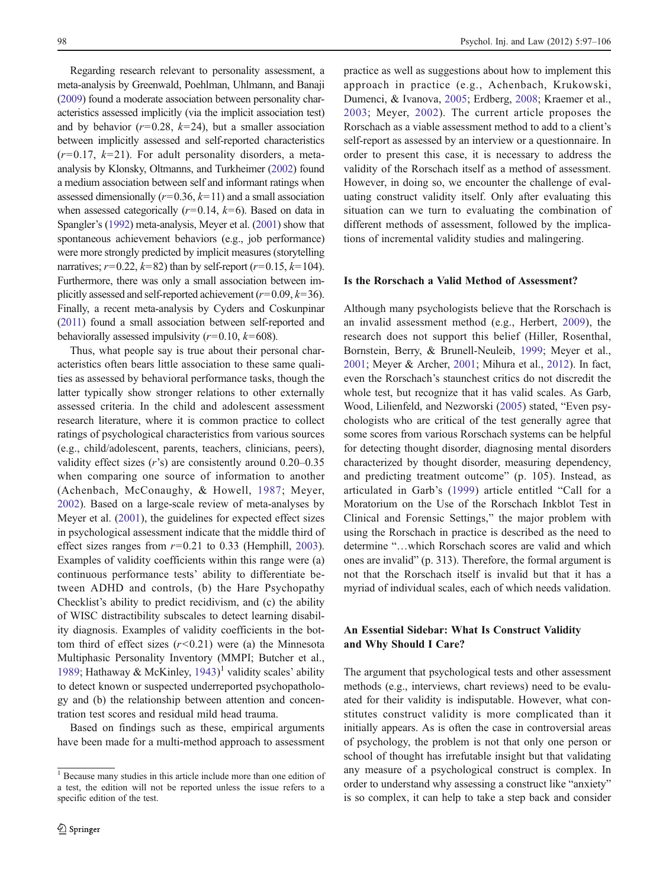Regarding research relevant to personality assessment, a meta-analysis by Greenwald, Poehlman, Uhlmann, and Banaji [\(2009](#page-7-0)) found a moderate association between personality characteristics assessed implicitly (via the implicit association test) and by behavior ( $r=0.28$ ,  $k=24$ ), but a smaller association between implicitly assessed and self-reported characteristics  $(r=0.17, k=21)$ . For adult personality disorders, a metaanalysis by Klonsky, Oltmanns, and Turkheimer ([2002\)](#page-7-0) found a medium association between self and informant ratings when assessed dimensionally ( $r=0.36$ ,  $k=11$ ) and a small association when assessed categorically  $(r=0.14, k=6)$ . Based on data in Spangler's [\(1992\)](#page-9-0) meta-analysis, Meyer et al. [\(2001](#page-8-0)) show that spontaneous achievement behaviors (e.g., job performance) were more strongly predicted by implicit measures (storytelling narratives;  $r=0.22$ ,  $k=82$ ) than by self-report ( $r=0.15$ ,  $k=104$ ). Furthermore, there was only a small association between implicitly assessed and self-reported achievement ( $r=0.09$ ,  $k=36$ ). Finally, a recent meta-analysis by Cyders and Coskunpinar [\(2011](#page-7-0)) found a small association between self-reported and behaviorally assessed impulsivity  $(r=0.10, k=608)$ .

Thus, what people say is true about their personal characteristics often bears little association to these same qualities as assessed by behavioral performance tasks, though the latter typically show stronger relations to other externally assessed criteria. In the child and adolescent assessment research literature, where it is common practice to collect ratings of psychological characteristics from various sources (e.g., child/adolescent, parents, teachers, clinicians, peers), validity effect sizes  $(r<sup>s</sup>)$  are consistently around  $0.20-0.35$ when comparing one source of information to another (Achenbach, McConaughy, & Howell, [1987;](#page-6-0) Meyer, [2002\)](#page-8-0). Based on a large-scale review of meta-analyses by Meyer et al. [\(2001](#page-8-0)), the guidelines for expected effect sizes in psychological assessment indicate that the middle third of effect sizes ranges from  $r=0.21$  to 0.33 (Hemphill, [2003](#page-7-0)). Examples of validity coefficients within this range were (a) continuous performance tests' ability to differentiate between ADHD and controls, (b) the Hare Psychopathy Checklist's ability to predict recidivism, and (c) the ability of WISC distractibility subscales to detect learning disability diagnosis. Examples of validity coefficients in the bottom third of effect sizes  $(r<0.21)$  were (a) the Minnesota Multiphasic Personality Inventory (MMPI; Butcher et al., [1989;](#page-7-0) Hathaway & McKinley, [1943\)](#page-7-0)<sup>1</sup> validity scales' ability to detect known or suspected underreported psychopathology and (b) the relationship between attention and concentration test scores and residual mild head trauma.

Based on findings such as these, empirical arguments have been made for a multi-method approach to assessment practice as well as suggestions about how to implement this approach in practice (e.g., Achenbach, Krukowski, Dumenci, & Ivanova, [2005](#page-6-0); Erdberg, [2008;](#page-7-0) Kraemer et al., [2003](#page-8-0); Meyer, [2002\)](#page-8-0). The current article proposes the Rorschach as a viable assessment method to add to a client's self-report as assessed by an interview or a questionnaire. In order to present this case, it is necessary to address the validity of the Rorschach itself as a method of assessment. However, in doing so, we encounter the challenge of evaluating construct validity itself. Only after evaluating this situation can we turn to evaluating the combination of different methods of assessment, followed by the implications of incremental validity studies and malingering.

#### Is the Rorschach a Valid Method of Assessment?

Although many psychologists believe that the Rorschach is an invalid assessment method (e.g., Herbert, [2009](#page-7-0)), the research does not support this belief (Hiller, Rosenthal, Bornstein, Berry, & Brunell-Neuleib, [1999](#page-7-0); Meyer et al., [2001](#page-8-0); Meyer & Archer, [2001;](#page-8-0) Mihura et al., [2012](#page-8-0)). In fact, even the Rorschach's staunchest critics do not discredit the whole test, but recognize that it has valid scales. As Garb, Wood, Lilienfeld, and Nezworski [\(2005](#page-7-0)) stated, "Even psychologists who are critical of the test generally agree that some scores from various Rorschach systems can be helpful for detecting thought disorder, diagnosing mental disorders characterized by thought disorder, measuring dependency, and predicting treatment outcome" (p. 105). Instead, as articulated in Garb's [\(1999\)](#page-7-0) article entitled "Call for a Moratorium on the Use of the Rorschach Inkblot Test in Clinical and Forensic Settings," the major problem with using the Rorschach in practice is described as the need to determine "…which Rorschach scores are valid and which ones are invalid" (p. 313). Therefore, the formal argument is not that the Rorschach itself is invalid but that it has a myriad of individual scales, each of which needs validation.

## An Essential Sidebar: What Is Construct Validity and Why Should I Care?

The argument that psychological tests and other assessment methods (e.g., interviews, chart reviews) need to be evaluated for their validity is indisputable. However, what constitutes construct validity is more complicated than it initially appears. As is often the case in controversial areas of psychology, the problem is not that only one person or school of thought has irrefutable insight but that validating any measure of a psychological construct is complex. In order to understand why assessing a construct like "anxiety" is so complex, it can help to take a step back and consider

<sup>&</sup>lt;sup>1</sup> Because many studies in this article include more than one edition of a test, the edition will not be reported unless the issue refers to a specific edition of the test.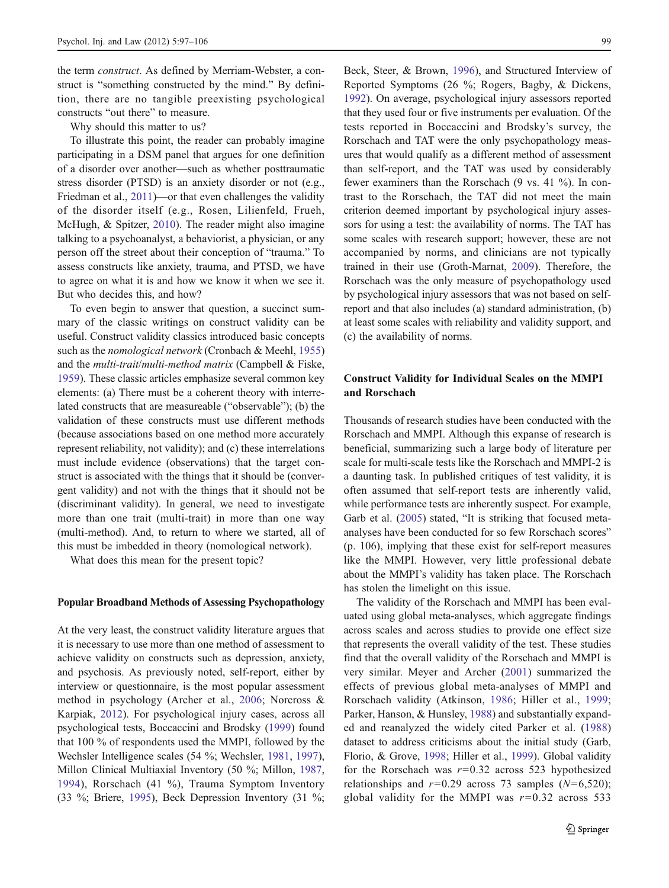the term construct. As defined by Merriam-Webster, a construct is "something constructed by the mind." By definition, there are no tangible preexisting psychological constructs "out there" to measure.

Why should this matter to us?

To illustrate this point, the reader can probably imagine participating in a DSM panel that argues for one definition of a disorder over another—such as whether posttraumatic stress disorder (PTSD) is an anxiety disorder or not (e.g., Friedman et al., [2011](#page-7-0))—or that even challenges the validity of the disorder itself (e.g., Rosen, Lilienfeld, Frueh, McHugh, & Spitzer, [2010](#page-8-0)). The reader might also imagine talking to a psychoanalyst, a behaviorist, a physician, or any person off the street about their conception of "trauma." To assess constructs like anxiety, trauma, and PTSD, we have to agree on what it is and how we know it when we see it. But who decides this, and how?

To even begin to answer that question, a succinct summary of the classic writings on construct validity can be useful. Construct validity classics introduced basic concepts such as the *nomological network* (Cronbach & Meehl, [1955\)](#page-7-0) and the multi-trait/multi-method matrix (Campbell & Fiske, [1959\)](#page-7-0). These classic articles emphasize several common key elements: (a) There must be a coherent theory with interrelated constructs that are measureable ("observable"); (b) the validation of these constructs must use different methods (because associations based on one method more accurately represent reliability, not validity); and (c) these interrelations must include evidence (observations) that the target construct is associated with the things that it should be (convergent validity) and not with the things that it should not be (discriminant validity). In general, we need to investigate more than one trait (multi-trait) in more than one way (multi-method). And, to return to where we started, all of this must be imbedded in theory (nomological network).

What does this mean for the present topic?

#### Popular Broadband Methods of Assessing Psychopathology

At the very least, the construct validity literature argues that it is necessary to use more than one method of assessment to achieve validity on constructs such as depression, anxiety, and psychosis. As previously noted, self-report, either by interview or questionnaire, is the most popular assessment method in psychology (Archer et al., [2006](#page-6-0); Norcross & Karpiak, [2012](#page-8-0)). For psychological injury cases, across all psychological tests, Boccaccini and Brodsky [\(1999](#page-7-0)) found that 100 % of respondents used the MMPI, followed by the Wechsler Intelligence scales (54 %; Wechsler, [1981](#page-9-0), [1997](#page-9-0)), Millon Clinical Multiaxial Inventory (50 %; Millon, [1987,](#page-8-0) [1994\)](#page-8-0), Rorschach (41 %), Trauma Symptom Inventory (33 %; Briere, [1995\)](#page-7-0), Beck Depression Inventory (31 %; Beck, Steer, & Brown, [1996\)](#page-6-0), and Structured Interview of Reported Symptoms (26 %; Rogers, Bagby, & Dickens, [1992](#page-8-0)). On average, psychological injury assessors reported that they used four or five instruments per evaluation. Of the tests reported in Boccaccini and Brodsky's survey, the Rorschach and TAT were the only psychopathology measures that would qualify as a different method of assessment than self-report, and the TAT was used by considerably fewer examiners than the Rorschach (9 vs. 41 %). In contrast to the Rorschach, the TAT did not meet the main criterion deemed important by psychological injury assessors for using a test: the availability of norms. The TAT has some scales with research support; however, these are not accompanied by norms, and clinicians are not typically trained in their use (Groth-Marnat, [2009\)](#page-7-0). Therefore, the Rorschach was the only measure of psychopathology used by psychological injury assessors that was not based on selfreport and that also includes (a) standard administration, (b) at least some scales with reliability and validity support, and (c) the availability of norms.

# Construct Validity for Individual Scales on the MMPI and Rorschach

Thousands of research studies have been conducted with the Rorschach and MMPI. Although this expanse of research is beneficial, summarizing such a large body of literature per scale for multi-scale tests like the Rorschach and MMPI-2 is a daunting task. In published critiques of test validity, it is often assumed that self-report tests are inherently valid, while performance tests are inherently suspect. For example, Garb et al. [\(2005](#page-7-0)) stated, "It is striking that focused metaanalyses have been conducted for so few Rorschach scores" (p. 106), implying that these exist for self-report measures like the MMPI. However, very little professional debate about the MMPI's validity has taken place. The Rorschach has stolen the limelight on this issue.

The validity of the Rorschach and MMPI has been evaluated using global meta-analyses, which aggregate findings across scales and across studies to provide one effect size that represents the overall validity of the test. These studies find that the overall validity of the Rorschach and MMPI is very similar. Meyer and Archer ([2001](#page-8-0)) summarized the effects of previous global meta-analyses of MMPI and Rorschach validity (Atkinson, [1986;](#page-6-0) Hiller et al., [1999;](#page-7-0) Parker, Hanson, & Hunsley, [1988](#page-8-0)) and substantially expanded and reanalyzed the widely cited Parker et al. ([1988](#page-8-0)) dataset to address criticisms about the initial study (Garb, Florio, & Grove, [1998](#page-7-0); Hiller et al., [1999\)](#page-7-0). Global validity for the Rorschach was  $r=0.32$  across 523 hypothesized relationships and  $r=0.29$  across 73 samples ( $N=6,520$ ); global validity for the MMPI was  $r=0.32$  across 533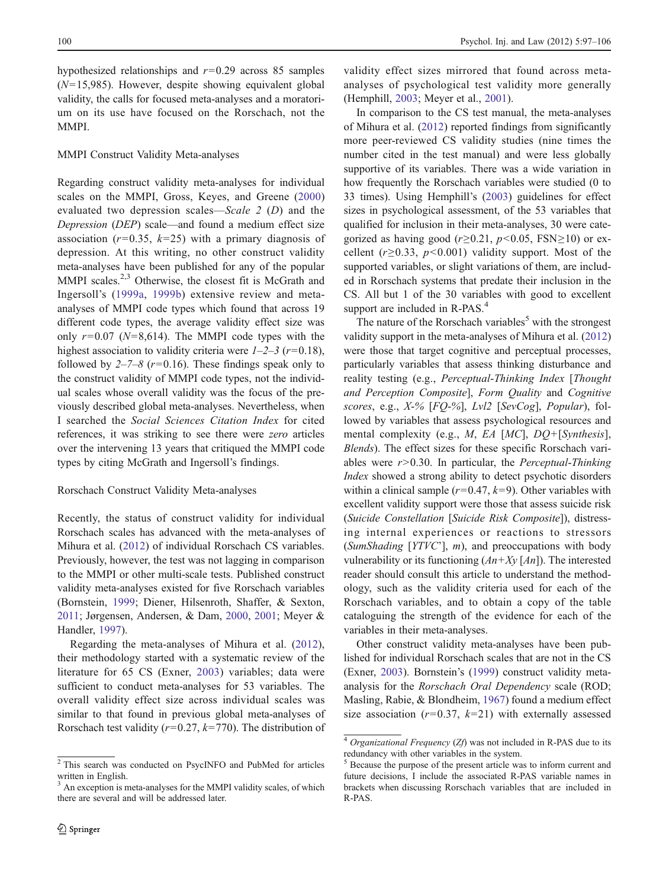hypothesized relationships and  $r=0.29$  across 85 samples  $(N=15,985)$ . However, despite showing equivalent global validity, the calls for focused meta-analyses and a moratorium on its use have focused on the Rorschach, not the MMPI.

## MMPI Construct Validity Meta-analyses

Regarding construct validity meta-analyses for individual scales on the MMPI, Gross, Keyes, and Greene [\(2000\)](#page-7-0) evaluated two depression scales—Scale 2 (D) and the Depression (DEP) scale—and found a medium effect size association ( $r=0.35$ ,  $k=25$ ) with a primary diagnosis of depression. At this writing, no other construct validity meta-analyses have been published for any of the popular MMPI scales. $2,3$  Otherwise, the closest fit is McGrath and Ingersoll's ([1999a](#page-8-0), [1999b\)](#page-8-0) extensive review and metaanalyses of MMPI code types which found that across 19 different code types, the average validity effect size was only  $r=0.07$  ( $N=8,614$ ). The MMPI code types with the highest association to validity criteria were  $1-2-3$  ( $r=0.18$ ), followed by 2–7–8 ( $r=0.16$ ). These findings speak only to the construct validity of MMPI code types, not the individual scales whose overall validity was the focus of the previously described global meta-analyses. Nevertheless, when I searched the Social Sciences Citation Index for cited references, it was striking to see there were zero articles over the intervening 13 years that critiqued the MMPI code types by citing McGrath and Ingersoll's findings.

#### Rorschach Construct Validity Meta-analyses

Recently, the status of construct validity for individual Rorschach scales has advanced with the meta-analyses of Mihura et al. ([2012\)](#page-8-0) of individual Rorschach CS variables. Previously, however, the test was not lagging in comparison to the MMPI or other multi-scale tests. Published construct validity meta-analyses existed for five Rorschach variables (Bornstein, [1999](#page-7-0); Diener, Hilsenroth, Shaffer, & Sexton, [2011;](#page-7-0) Jørgensen, Andersen, & Dam, [2000,](#page-7-0) [2001;](#page-7-0) Meyer & Handler, [1997](#page-8-0)).

Regarding the meta-analyses of Mihura et al. [\(2012](#page-8-0)), their methodology started with a systematic review of the literature for 65 CS (Exner, [2003\)](#page-7-0) variables; data were sufficient to conduct meta-analyses for 53 variables. The overall validity effect size across individual scales was similar to that found in previous global meta-analyses of Rorschach test validity ( $r=0.27$ ,  $k=770$ ). The distribution of

validity effect sizes mirrored that found across metaanalyses of psychological test validity more generally (Hemphill, [2003](#page-7-0); Meyer et al., [2001\)](#page-8-0).

In comparison to the CS test manual, the meta-analyses of Mihura et al. [\(2012](#page-8-0)) reported findings from significantly more peer-reviewed CS validity studies (nine times the number cited in the test manual) and were less globally supportive of its variables. There was a wide variation in how frequently the Rorschach variables were studied (0 to 33 times). Using Hemphill's ([2003\)](#page-7-0) guidelines for effect sizes in psychological assessment, of the 53 variables that qualified for inclusion in their meta-analyses, 30 were categorized as having good ( $r \ge 0.21$ ,  $p \le 0.05$ , FSN≥10) or excellent ( $r \ge 0.33$ ,  $p \le 0.001$ ) validity support. Most of the supported variables, or slight variations of them, are included in Rorschach systems that predate their inclusion in the CS. All but 1 of the 30 variables with good to excellent support are included in R-PAS.<sup>4</sup>

The nature of the Rorschach variables<sup>5</sup> with the strongest validity support in the meta-analyses of Mihura et al. [\(2012](#page-8-0)) were those that target cognitive and perceptual processes, particularly variables that assess thinking disturbance and reality testing (e.g., Perceptual-Thinking Index [Thought and Perception Composite], Form Quality and Cognitive scores, e.g., X-% [FQ-%], Lvl2 [SevCog], Popular), followed by variables that assess psychological resources and mental complexity (e.g.,  $M$ ,  $EA$  [MC],  $DQ + \frac{Synthesis}{Synthesis}$ ], Blends). The effect sizes for these specific Rorschach variables were  $r > 0.30$ . In particular, the *Perceptual-Thinking* Index showed a strong ability to detect psychotic disorders within a clinical sample ( $r=0.47$ ,  $k=9$ ). Other variables with excellent validity support were those that assess suicide risk (Suicide Constellation [Suicide Risk Composite]), distressing internal experiences or reactions to stressors (SumShading [ $YTVC'$ ], m), and preoccupations with body vulnerability or its functioning  $(An+Xy \mid An)$ . The interested reader should consult this article to understand the methodology, such as the validity criteria used for each of the Rorschach variables, and to obtain a copy of the table cataloguing the strength of the evidence for each of the variables in their meta-analyses.

Other construct validity meta-analyses have been published for individual Rorschach scales that are not in the CS (Exner, [2003\)](#page-7-0). Bornstein's ([1999\)](#page-7-0) construct validity metaanalysis for the Rorschach Oral Dependency scale (ROD; Masling, Rabie, & Blondheim, [1967\)](#page-8-0) found a medium effect size association ( $r=0.37$ ,  $k=21$ ) with externally assessed

<sup>2</sup> This search was conducted on PsycINFO and PubMed for articles

written in English. <sup>3</sup> An exception is meta-analyses for the MMPI validity scales, of which there are several and will be addressed later.

 $\frac{4}{4}$  Organizational Frequency (Zf) was not included in R-PAS due to its redundancy with other variables in the system.

<sup>5</sup> Because the purpose of the present article was to inform current and future decisions, I include the associated R-PAS variable names in brackets when discussing Rorschach variables that are included in R-PAS.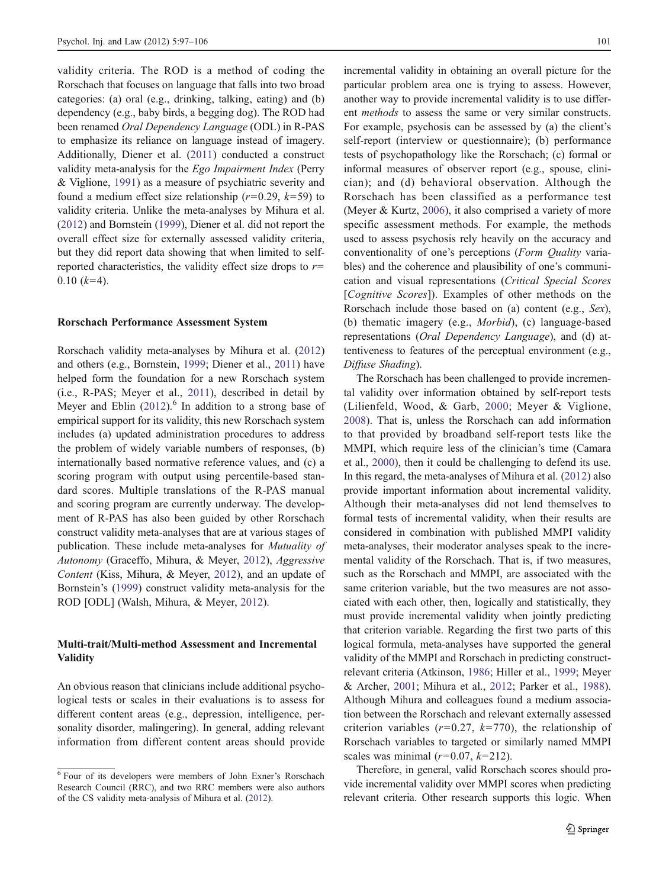validity criteria. The ROD is a method of coding the Rorschach that focuses on language that falls into two broad categories: (a) oral (e.g., drinking, talking, eating) and (b) dependency (e.g., baby birds, a begging dog). The ROD had been renamed Oral Dependency Language (ODL) in R-PAS to emphasize its reliance on language instead of imagery. Additionally, Diener et al. ([2011\)](#page-7-0) conducted a construct validity meta-analysis for the Ego Impairment Index (Perry & Viglione, [1991\)](#page-8-0) as a measure of psychiatric severity and found a medium effect size relationship ( $r=0.29$ ,  $k=59$ ) to validity criteria. Unlike the meta-analyses by Mihura et al. [\(2012](#page-8-0)) and Bornstein [\(1999](#page-7-0)), Diener et al. did not report the overall effect size for externally assessed validity criteria, but they did report data showing that when limited to selfreported characteristics, the validity effect size drops to  $r=$  $0.10 (k=4)$ .

### Rorschach Performance Assessment System

Rorschach validity meta-analyses by Mihura et al. ([2012\)](#page-8-0) and others (e.g., Bornstein, [1999](#page-7-0); Diener et al., [2011](#page-7-0)) have helped form the foundation for a new Rorschach system (i.e., R-PAS; Meyer et al., [2011](#page-8-0)), described in detail by Meyer and Eblin  $(2012)$  $(2012)$ .<sup>6</sup> In addition to a strong base of empirical support for its validity, this new Rorschach system includes (a) updated administration procedures to address the problem of widely variable numbers of responses, (b) internationally based normative reference values, and (c) a scoring program with output using percentile-based standard scores. Multiple translations of the R-PAS manual and scoring program are currently underway. The development of R-PAS has also been guided by other Rorschach construct validity meta-analyses that are at various stages of publication. These include meta-analyses for Mutuality of Autonomy (Graceffo, Mihura, & Meyer, [2012\)](#page-7-0), Aggressive Content (Kiss, Mihura, & Meyer, [2012\)](#page-7-0), and an update of Bornstein's [\(1999](#page-7-0)) construct validity meta-analysis for the ROD [ODL] (Walsh, Mihura, & Meyer, [2012](#page-7-0)).

## Multi-trait/Multi-method Assessment and Incremental **Validity**

An obvious reason that clinicians include additional psychological tests or scales in their evaluations is to assess for different content areas (e.g., depression, intelligence, personality disorder, malingering). In general, adding relevant information from different content areas should provide

incremental validity in obtaining an overall picture for the particular problem area one is trying to assess. However, another way to provide incremental validity is to use different methods to assess the same or very similar constructs. For example, psychosis can be assessed by (a) the client's self-report (interview or questionnaire); (b) performance tests of psychopathology like the Rorschach; (c) formal or informal measures of observer report (e.g., spouse, clinician); and (d) behavioral observation. Although the Rorschach has been classified as a performance test (Meyer & Kurtz, [2006](#page-8-0)), it also comprised a variety of more specific assessment methods. For example, the methods used to assess psychosis rely heavily on the accuracy and conventionality of one's perceptions (Form Quality variables) and the coherence and plausibility of one's communication and visual representations (Critical Special Scores [*Cognitive Scores*]). Examples of other methods on the Rorschach include those based on (a) content (e.g., Sex), (b) thematic imagery (e.g., Morbid), (c) language-based representations (Oral Dependency Language), and (d) attentiveness to features of the perceptual environment (e.g., Diffuse Shading).

The Rorschach has been challenged to provide incremental validity over information obtained by self-report tests (Lilienfeld, Wood, & Garb, [2000](#page-8-0); Meyer & Viglione, [2008](#page-8-0)). That is, unless the Rorschach can add information to that provided by broadband self-report tests like the MMPI, which require less of the clinician's time (Camara et al., [2000](#page-7-0)), then it could be challenging to defend its use. In this regard, the meta-analyses of Mihura et al. ([2012\)](#page-8-0) also provide important information about incremental validity. Although their meta-analyses did not lend themselves to formal tests of incremental validity, when their results are considered in combination with published MMPI validity meta-analyses, their moderator analyses speak to the incremental validity of the Rorschach. That is, if two measures, such as the Rorschach and MMPI, are associated with the same criterion variable, but the two measures are not associated with each other, then, logically and statistically, they must provide incremental validity when jointly predicting that criterion variable. Regarding the first two parts of this logical formula, meta-analyses have supported the general validity of the MMPI and Rorschach in predicting constructrelevant criteria (Atkinson, [1986](#page-6-0); Hiller et al., [1999;](#page-7-0) Meyer & Archer, [2001;](#page-8-0) Mihura et al., [2012](#page-8-0); Parker et al., [1988\)](#page-8-0). Although Mihura and colleagues found a medium association between the Rorschach and relevant externally assessed criterion variables ( $r=0.27$ ,  $k=770$ ), the relationship of Rorschach variables to targeted or similarly named MMPI scales was minimal  $(r=0.07, k=212)$ .

Therefore, in general, valid Rorschach scores should provide incremental validity over MMPI scores when predicting relevant criteria. Other research supports this logic. When

<sup>6</sup> Four of its developers were members of John Exner's Rorschach Research Council (RRC), and two RRC members were also authors of the CS validity meta-analysis of Mihura et al. [\(2012](#page-8-0)).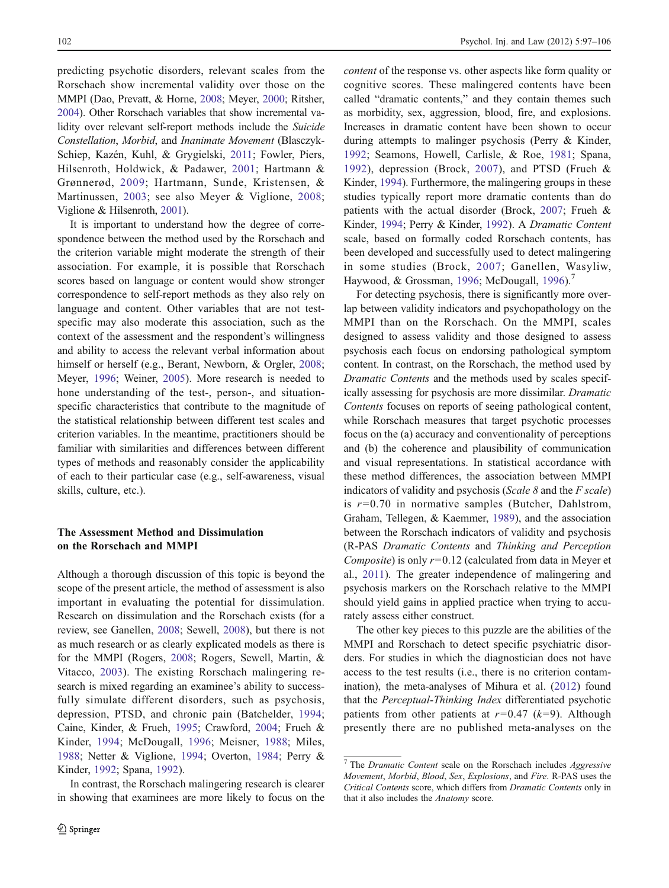predicting psychotic disorders, relevant scales from the Rorschach show incremental validity over those on the MMPI (Dao, Prevatt, & Horne, [2008;](#page-7-0) Meyer, [2000](#page-8-0); Ritsher, [2004\)](#page-8-0). Other Rorschach variables that show incremental validity over relevant self-report methods include the Suicide Constellation, Morbid, and Inanimate Movement (Blasczyk-Schiep, Kazén, Kuhl, & Grygielski, [2011](#page-7-0); Fowler, Piers, Hilsenroth, Holdwick, & Padawer, [2001;](#page-7-0) Hartmann & Grønnerød, [2009](#page-7-0); Hartmann, Sunde, Kristensen, & Martinussen, [2003](#page-7-0); see also Meyer & Viglione, [2008](#page-8-0); Viglione & Hilsenroth, [2001\)](#page-9-0).

It is important to understand how the degree of correspondence between the method used by the Rorschach and the criterion variable might moderate the strength of their association. For example, it is possible that Rorschach scores based on language or content would show stronger correspondence to self-report methods as they also rely on language and content. Other variables that are not testspecific may also moderate this association, such as the context of the assessment and the respondent's willingness and ability to access the relevant verbal information about himself or herself (e.g., Berant, Newborn, & Orgler, [2008](#page-6-0); Meyer, [1996](#page-8-0); Weiner, [2005](#page-9-0)). More research is needed to hone understanding of the test-, person-, and situationspecific characteristics that contribute to the magnitude of the statistical relationship between different test scales and criterion variables. In the meantime, practitioners should be familiar with similarities and differences between different types of methods and reasonably consider the applicability of each to their particular case (e.g., self-awareness, visual skills, culture, etc.).

## The Assessment Method and Dissimulation on the Rorschach and MMPI

Although a thorough discussion of this topic is beyond the scope of the present article, the method of assessment is also important in evaluating the potential for dissimulation. Research on dissimulation and the Rorschach exists (for a review, see Ganellen, [2008](#page-7-0); Sewell, [2008\)](#page-8-0), but there is not as much research or as clearly explicated models as there is for the MMPI (Rogers, [2008](#page-8-0); Rogers, Sewell, Martin, & Vitacco, [2003\)](#page-8-0). The existing Rorschach malingering research is mixed regarding an examinee's ability to successfully simulate different disorders, such as psychosis, depression, PTSD, and chronic pain (Batchelder, [1994](#page-6-0); Caine, Kinder, & Frueh, [1995](#page-7-0); Crawford, [2004](#page-7-0); Frueh & Kinder, [1994;](#page-7-0) McDougall, [1996](#page-8-0); Meisner, [1988](#page-8-0); Miles, [1988](#page-8-0); Netter & Viglione, [1994](#page-8-0); Overton, [1984](#page-8-0); Perry & Kinder, [1992;](#page-8-0) Spana, [1992\)](#page-8-0).

In contrast, the Rorschach malingering research is clearer in showing that examinees are more likely to focus on the content of the response vs. other aspects like form quality or cognitive scores. These malingered contents have been called "dramatic contents," and they contain themes such as morbidity, sex, aggression, blood, fire, and explosions. Increases in dramatic content have been shown to occur during attempts to malinger psychosis (Perry & Kinder, [1992;](#page-8-0) Seamons, Howell, Carlisle, & Roe, [1981;](#page-8-0) Spana, [1992\)](#page-8-0), depression (Brock, [2007\)](#page-7-0), and PTSD (Frueh & Kinder, [1994](#page-7-0)). Furthermore, the malingering groups in these studies typically report more dramatic contents than do patients with the actual disorder (Brock, [2007](#page-7-0); Frueh & Kinder, [1994;](#page-7-0) Perry & Kinder, [1992\)](#page-8-0). A Dramatic Content scale, based on formally coded Rorschach contents, has been developed and successfully used to detect malingering in some studies (Brock, [2007;](#page-7-0) Ganellen, Wasyliw, Haywood, & Grossman, [1996;](#page-7-0) McDougall, [1996\)](#page-8-0).<sup>7</sup>

For detecting psychosis, there is significantly more overlap between validity indicators and psychopathology on the MMPI than on the Rorschach. On the MMPI, scales designed to assess validity and those designed to assess psychosis each focus on endorsing pathological symptom content. In contrast, on the Rorschach, the method used by Dramatic Contents and the methods used by scales specifically assessing for psychosis are more dissimilar. Dramatic Contents focuses on reports of seeing pathological content, while Rorschach measures that target psychotic processes focus on the (a) accuracy and conventionality of perceptions and (b) the coherence and plausibility of communication and visual representations. In statistical accordance with these method differences, the association between MMPI indicators of validity and psychosis (Scale 8 and the  $F$  scale) is  $r=0.70$  in normative samples (Butcher, Dahlstrom, Graham, Tellegen, & Kaemmer, [1989\)](#page-7-0), and the association between the Rorschach indicators of validity and psychosis (R-PAS Dramatic Contents and Thinking and Perception Composite) is only  $r=0.12$  (calculated from data in Meyer et al., [2011\)](#page-8-0). The greater independence of malingering and psychosis markers on the Rorschach relative to the MMPI should yield gains in applied practice when trying to accurately assess either construct.

The other key pieces to this puzzle are the abilities of the MMPI and Rorschach to detect specific psychiatric disorders. For studies in which the diagnostician does not have access to the test results (i.e., there is no criterion contamination), the meta-analyses of Mihura et al. ([2012\)](#page-8-0) found that the Perceptual-Thinking Index differentiated psychotic patients from other patients at  $r=0.47$  (k=9). Although presently there are no published meta-analyses on the

 $7$  The *Dramatic Content* scale on the Rorschach includes  $Aggressive$ Movement, Morbid, Blood, Sex, Explosions, and Fire. R-PAS uses the Critical Contents score, which differs from Dramatic Contents only in that it also includes the Anatomy score.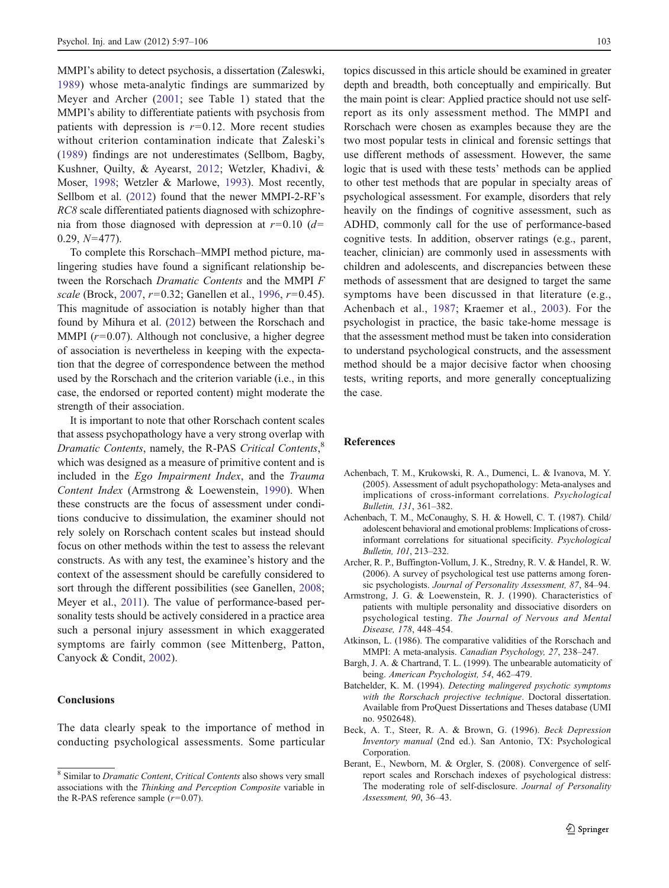<span id="page-6-0"></span>MMPI's ability to detect psychosis, a dissertation (Zaleswki, [1989](#page-9-0)) whose meta-analytic findings are summarized by Meyer and Archer [\(2001](#page-8-0); see Table 1) stated that the MMPI's ability to differentiate patients with psychosis from patients with depression is  $r=0.12$ . More recent studies without criterion contamination indicate that Zaleski's [\(1989](#page-9-0)) findings are not underestimates (Sellbom, Bagby, Kushner, Quilty, & Ayearst, [2012;](#page-8-0) Wetzler, Khadivi, & Moser, [1998](#page-9-0); Wetzler & Marlowe, [1993](#page-9-0)). Most recently, Sellbom et al. ([2012\)](#page-8-0) found that the newer MMPI-2-RF's RC8 scale differentiated patients diagnosed with schizophrenia from those diagnosed with depression at  $r=0.10$  (d=  $0.29, N=477$ ).

To complete this Rorschach–MMPI method picture, malingering studies have found a significant relationship between the Rorschach Dramatic Contents and the MMPI F scale (Brock, [2007,](#page-7-0)  $r=0.32$ ; Ganellen et al., [1996,](#page-7-0)  $r=0.45$ ). This magnitude of association is notably higher than that found by Mihura et al. ([2012\)](#page-8-0) between the Rorschach and MMPI ( $r=0.07$ ). Although not conclusive, a higher degree of association is nevertheless in keeping with the expectation that the degree of correspondence between the method used by the Rorschach and the criterion variable (i.e., in this case, the endorsed or reported content) might moderate the strength of their association.

It is important to note that other Rorschach content scales that assess psychopathology have a very strong overlap with Dramatic Contents, namely, the R-PAS Critical Contents,<sup>8</sup> which was designed as a measure of primitive content and is included in the Ego Impairment Index, and the Trauma Content Index (Armstrong & Loewenstein, 1990). When these constructs are the focus of assessment under conditions conducive to dissimulation, the examiner should not rely solely on Rorschach content scales but instead should focus on other methods within the test to assess the relevant constructs. As with any test, the examinee's history and the context of the assessment should be carefully considered to sort through the different possibilities (see Ganellen, [2008](#page-7-0); Meyer et al., [2011](#page-8-0)). The value of performance-based personality tests should be actively considered in a practice area such a personal injury assessment in which exaggerated symptoms are fairly common (see Mittenberg, Patton, Canyock & Condit, [2002\)](#page-8-0).

## Conclusions

The data clearly speak to the importance of method in conducting psychological assessments. Some particular

topics discussed in this article should be examined in greater depth and breadth, both conceptually and empirically. But the main point is clear: Applied practice should not use selfreport as its only assessment method. The MMPI and Rorschach were chosen as examples because they are the two most popular tests in clinical and forensic settings that use different methods of assessment. However, the same logic that is used with these tests' methods can be applied to other test methods that are popular in specialty areas of psychological assessment. For example, disorders that rely heavily on the findings of cognitive assessment, such as ADHD, commonly call for the use of performance-based cognitive tests. In addition, observer ratings (e.g., parent, teacher, clinician) are commonly used in assessments with children and adolescents, and discrepancies between these methods of assessment that are designed to target the same symptoms have been discussed in that literature (e.g., Achenbach et al., 1987; Kraemer et al., [2003\)](#page-8-0). For the psychologist in practice, the basic take-home message is that the assessment method must be taken into consideration to understand psychological constructs, and the assessment method should be a major decisive factor when choosing tests, writing reports, and more generally conceptualizing the case.

#### References

- Achenbach, T. M., Krukowski, R. A., Dumenci, L. & Ivanova, M. Y. (2005). Assessment of adult psychopathology: Meta-analyses and implications of cross-informant correlations. Psychological Bulletin, 131, 361–382.
- Achenbach, T. M., McConaughy, S. H. & Howell, C. T. (1987). Child/ adolescent behavioral and emotional problems: Implications of crossinformant correlations for situational specificity. Psychological Bulletin, 101, 213–232.
- Archer, R. P., Buffington-Vollum, J. K., Stredny, R. V. & Handel, R. W. (2006). A survey of psychological test use patterns among forensic psychologists. Journal of Personality Assessment, 87, 84–94.
- Armstrong, J. G. & Loewenstein, R. J. (1990). Characteristics of patients with multiple personality and dissociative disorders on psychological testing. The Journal of Nervous and Mental Disease, 178, 448–454.
- Atkinson, L. (1986). The comparative validities of the Rorschach and MMPI: A meta-analysis. Canadian Psychology, 27, 238–247.
- Bargh, J. A. & Chartrand, T. L. (1999). The unbearable automaticity of being. American Psychologist, 54, 462–479.
- Batchelder, K. M. (1994). Detecting malingered psychotic symptoms with the Rorschach projective technique. Doctoral dissertation. Available from ProQuest Dissertations and Theses database (UMI no. 9502648).
- Beck, A. T., Steer, R. A. & Brown, G. (1996). Beck Depression Inventory manual (2nd ed.). San Antonio, TX: Psychological Corporation.
- Berant, E., Newborn, M. & Orgler, S. (2008). Convergence of selfreport scales and Rorschach indexes of psychological distress: The moderating role of self-disclosure. Journal of Personality Assessment, 90, 36–43.

 $8$  Similar to Dramatic Content, Critical Contents also shows very small associations with the Thinking and Perception Composite variable in the R-PAS reference sample  $(r=0.07)$ .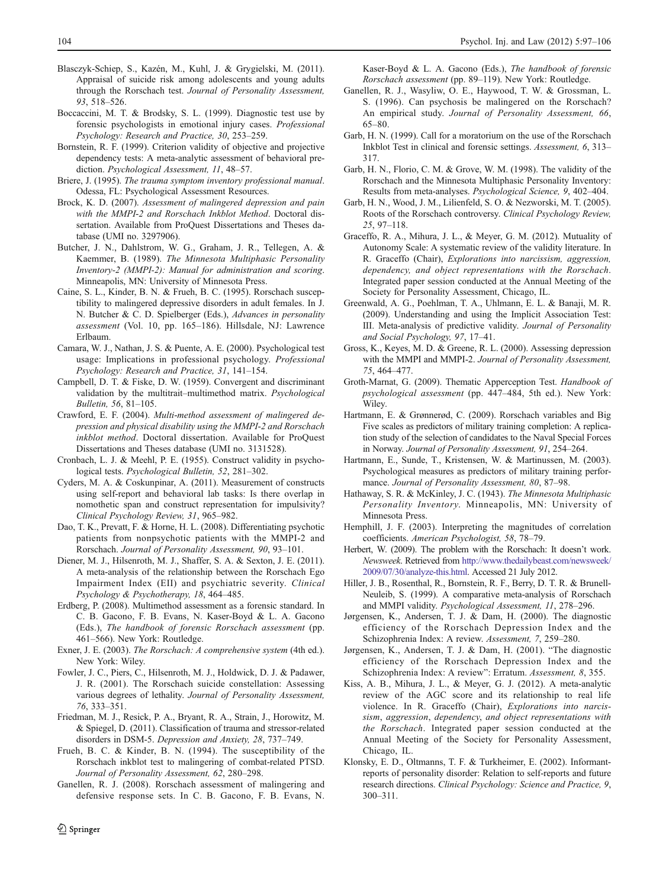- <span id="page-7-0"></span>Blasczyk-Schiep, S., Kazén, M., Kuhl, J. & Grygielski, M. (2011). Appraisal of suicide risk among adolescents and young adults through the Rorschach test. Journal of Personality Assessment, 93, 518–526.
- Boccaccini, M. T. & Brodsky, S. L. (1999). Diagnostic test use by forensic psychologists in emotional injury cases. Professional Psychology: Research and Practice, 30, 253–259.
- Bornstein, R. F. (1999). Criterion validity of objective and projective dependency tests: A meta-analytic assessment of behavioral prediction. Psychological Assessment, 11, 48–57.
- Briere, J. (1995). The trauma symptom inventory professional manual. Odessa, FL: Psychological Assessment Resources.
- Brock, K. D. (2007). Assessment of malingered depression and pain with the MMPI-2 and Rorschach Inkblot Method. Doctoral dissertation. Available from ProQuest Dissertations and Theses database (UMI no. 3297906).
- Butcher, J. N., Dahlstrom, W. G., Graham, J. R., Tellegen, A. & Kaemmer, B. (1989). The Minnesota Multiphasic Personality Inventory-2 (MMPI-2): Manual for administration and scoring. Minneapolis, MN: University of Minnesota Press.
- Caine, S. L., Kinder, B. N. & Frueh, B. C. (1995). Rorschach susceptibility to malingered depressive disorders in adult females. In J. N. Butcher & C. D. Spielberger (Eds.), Advances in personality assessment (Vol. 10, pp. 165–186). Hillsdale, NJ: Lawrence Erlbaum.
- Camara, W. J., Nathan, J. S. & Puente, A. E. (2000). Psychological test usage: Implications in professional psychology. Professional Psychology: Research and Practice, 31, 141–154.
- Campbell, D. T. & Fiske, D. W. (1959). Convergent and discriminant validation by the multitrait–multimethod matrix. Psychological Bulletin, 56, 81–105.
- Crawford, E. F. (2004). Multi-method assessment of malingered depression and physical disability using the MMPI-2 and Rorschach inkblot method. Doctoral dissertation. Available for ProQuest Dissertations and Theses database (UMI no. 3131528).
- Cronbach, L. J. & Meehl, P. E. (1955). Construct validity in psychological tests. Psychological Bulletin, 52, 281–302.
- Cyders, M. A. & Coskunpinar, A. (2011). Measurement of constructs using self-report and behavioral lab tasks: Is there overlap in nomothetic span and construct representation for impulsivity? Clinical Psychology Review, 31, 965–982.
- Dao, T. K., Prevatt, F. & Horne, H. L. (2008). Differentiating psychotic patients from nonpsychotic patients with the MMPI-2 and Rorschach. Journal of Personality Assessment, 90, 93–101.
- Diener, M. J., Hilsenroth, M. J., Shaffer, S. A. & Sexton, J. E. (2011). A meta-analysis of the relationship between the Rorschach Ego Impairment Index (EII) and psychiatric severity. Clinical Psychology & Psychotherapy, 18, 464–485.
- Erdberg, P. (2008). Multimethod assessment as a forensic standard. In C. B. Gacono, F. B. Evans, N. Kaser-Boyd & L. A. Gacono (Eds.), The handbook of forensic Rorschach assessment (pp. 461–566). New York: Routledge.
- Exner, J. E. (2003). The Rorschach: A comprehensive system (4th ed.). New York: Wiley.
- Fowler, J. C., Piers, C., Hilsenroth, M. J., Holdwick, D. J. & Padawer, J. R. (2001). The Rorschach suicide constellation: Assessing various degrees of lethality. Journal of Personality Assessment, 76, 333–351.
- Friedman, M. J., Resick, P. A., Bryant, R. A., Strain, J., Horowitz, M. & Spiegel, D. (2011). Classification of trauma and stressor-related disorders in DSM-5. Depression and Anxiety, 28, 737–749.
- Frueh, B. C. & Kinder, B. N. (1994). The susceptibility of the Rorschach inkblot test to malingering of combat-related PTSD. Journal of Personality Assessment, 62, 280–298.
- Ganellen, R. J. (2008). Rorschach assessment of malingering and defensive response sets. In C. B. Gacono, F. B. Evans, N.

Kaser-Boyd & L. A. Gacono (Eds.), The handbook of forensic Rorschach assessment (pp. 89–119). New York: Routledge.

- Ganellen, R. J., Wasyliw, O. E., Haywood, T. W. & Grossman, L. S. (1996). Can psychosis be malingered on the Rorschach? An empirical study. Journal of Personality Assessment, 66, 65–80.
- Garb, H. N. (1999). Call for a moratorium on the use of the Rorschach Inkblot Test in clinical and forensic settings. Assessment, 6, 313– 317.
- Garb, H. N., Florio, C. M. & Grove, W. M. (1998). The validity of the Rorschach and the Minnesota Multiphasic Personality Inventory: Results from meta-analyses. Psychological Science, 9, 402–404.
- Garb, H. N., Wood, J. M., Lilienfeld, S. O. & Nezworski, M. T. (2005). Roots of the Rorschach controversy. Clinical Psychology Review, 25, 97–118.
- Graceffo, R. A., Mihura, J. L., & Meyer, G. M. (2012). Mutuality of Autonomy Scale: A systematic review of the validity literature. In R. Graceffo (Chair), Explorations into narcissism, aggression, dependency, and object representations with the Rorschach. Integrated paper session conducted at the Annual Meeting of the Society for Personality Assessment, Chicago, IL.
- Greenwald, A. G., Poehlman, T. A., Uhlmann, E. L. & Banaji, M. R. (2009). Understanding and using the Implicit Association Test: III. Meta-analysis of predictive validity. Journal of Personality and Social Psychology, 97, 17–41.
- Gross, K., Keyes, M. D. & Greene, R. L. (2000). Assessing depression with the MMPI and MMPI-2. Journal of Personality Assessment, 75, 464–477.
- Groth-Marnat, G. (2009). Thematic Apperception Test. Handbook of psychological assessment (pp. 447–484, 5th ed.). New York: Wiley.
- Hartmann, E. & Grønnerød, C. (2009). Rorschach variables and Big Five scales as predictors of military training completion: A replication study of the selection of candidates to the Naval Special Forces in Norway. Journal of Personality Assessment, 91, 254–264.
- Hartmann, E., Sunde, T., Kristensen, W. & Martinussen, M. (2003). Psychological measures as predictors of military training performance. Journal of Personality Assessment, 80, 87–98.
- Hathaway, S. R. & McKinley, J. C. (1943). The Minnesota Multiphasic Personality Inventory. Minneapolis, MN: University of Minnesota Press.
- Hemphill, J. F. (2003). Interpreting the magnitudes of correlation coefficients. American Psychologist, 58, 78–79.
- Herbert, W. (2009). The problem with the Rorschach: It doesn't work. Newsweek. Retrieved from [http://www.thedailybeast.com/newsweek/](http://www.thedailybeast.com/newsweek/2009/07/30/analyze-this.html) [2009/07/30/analyze-this.html](http://www.thedailybeast.com/newsweek/2009/07/30/analyze-this.html). Accessed 21 July 2012.
- Hiller, J. B., Rosenthal, R., Bornstein, R. F., Berry, D. T. R. & Brunell-Neuleib, S. (1999). A comparative meta-analysis of Rorschach and MMPI validity. Psychological Assessment, 11, 278–296.
- Jørgensen, K., Andersen, T. J. & Dam, H. (2000). The diagnostic efficiency of the Rorschach Depression Index and the Schizophrenia Index: A review. Assessment, 7, 259–280.
- Jørgensen, K., Andersen, T. J. & Dam, H. (2001). "The diagnostic efficiency of the Rorschach Depression Index and the Schizophrenia Index: A review": Erratum. Assessment, 8, 355.
- Kiss, A. B., Mihura, J. L., & Meyer, G. J. (2012). A meta-analytic review of the AGC score and its relationship to real life violence. In R. Graceffo (Chair), Explorations into narcissism, aggression, dependency, and object representations with the Rorschach. Integrated paper session conducted at the Annual Meeting of the Society for Personality Assessment, Chicago, IL.
- Klonsky, E. D., Oltmanns, T. F. & Turkheimer, E. (2002). Informantreports of personality disorder: Relation to self-reports and future research directions. Clinical Psychology: Science and Practice, 9, 300–311.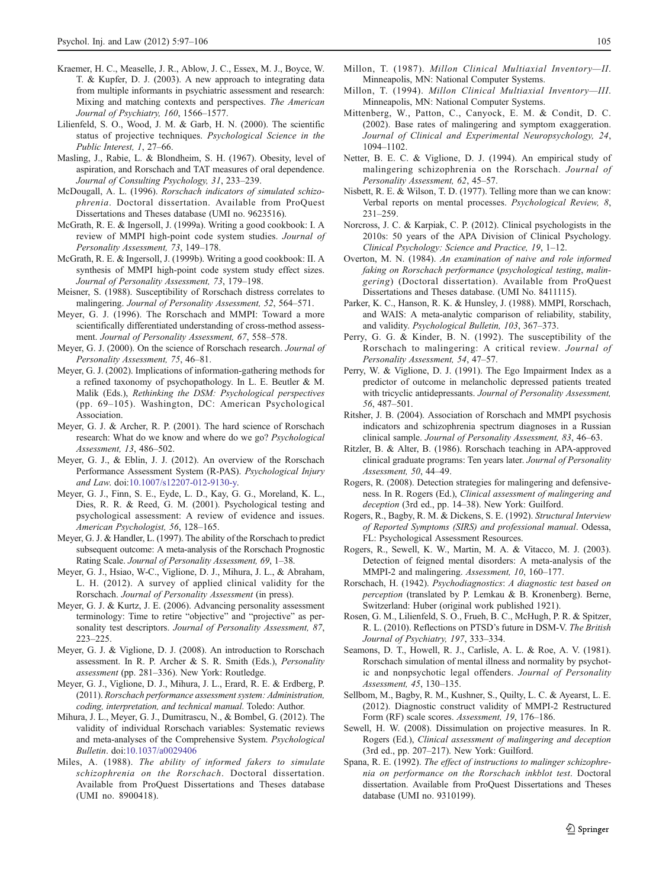- <span id="page-8-0"></span>Kraemer, H. C., Measelle, J. R., Ablow, J. C., Essex, M. J., Boyce, W. T. & Kupfer, D. J. (2003). A new approach to integrating data from multiple informants in psychiatric assessment and research: Mixing and matching contexts and perspectives. The American Journal of Psychiatry, 160, 1566–1577.
- Lilienfeld, S. O., Wood, J. M. & Garb, H. N. (2000). The scientific status of projective techniques. Psychological Science in the Public Interest, 1, 27–66.
- Masling, J., Rabie, L. & Blondheim, S. H. (1967). Obesity, level of aspiration, and Rorschach and TAT measures of oral dependence. Journal of Consulting Psychology, 31, 233–239.
- McDougall, A. L. (1996). Rorschach indicators of simulated schizophrenia. Doctoral dissertation. Available from ProQuest Dissertations and Theses database (UMI no. 9623516).
- McGrath, R. E. & Ingersoll, J. (1999a). Writing a good cookbook: I. A review of MMPI high-point code system studies. Journal of Personality Assessment, 73, 149–178.
- McGrath, R. E. & Ingersoll, J. (1999b). Writing a good cookbook: II. A synthesis of MMPI high-point code system study effect sizes. Journal of Personality Assessment, 73, 179–198.
- Meisner, S. (1988). Susceptibility of Rorschach distress correlates to malingering. Journal of Personality Assessment, 52, 564–571.
- Meyer, G. J. (1996). The Rorschach and MMPI: Toward a more scientifically differentiated understanding of cross-method assessment. Journal of Personality Assessment, 67, 558–578.
- Meyer, G. J. (2000). On the science of Rorschach research. Journal of Personality Assessment, 75, 46–81.
- Meyer, G. J. (2002). Implications of information-gathering methods for a refined taxonomy of psychopathology. In L. E. Beutler & M. Malik (Eds.), Rethinking the DSM: Psychological perspectives (pp. 69–105). Washington, DC: American Psychological Association.
- Meyer, G. J. & Archer, R. P. (2001). The hard science of Rorschach research: What do we know and where do we go? Psychological Assessment, 13, 486–502.
- Meyer, G. J., & Eblin, J. J. (2012). An overview of the Rorschach Performance Assessment System (R-PAS). Psychological Injury and Law. doi:[10.1007/s12207-012-9130-y.](http://dx.doi.org/10.1007/s12207-012-9130-y)
- Meyer, G. J., Finn, S. E., Eyde, L. D., Kay, G. G., Moreland, K. L., Dies, R. R. & Reed, G. M. (2001). Psychological testing and psychological assessment: A review of evidence and issues. American Psychologist, 56, 128–165.
- Meyer, G. J. & Handler, L. (1997). The ability of the Rorschach to predict subsequent outcome: A meta-analysis of the Rorschach Prognostic Rating Scale. Journal of Personality Assessment, 69, 1–38.
- Meyer, G. J., Hsiao, W-C., Viglione, D. J., Mihura, J. L., & Abraham, L. H. (2012). A survey of applied clinical validity for the Rorschach. Journal of Personality Assessment (in press).
- Meyer, G. J. & Kurtz, J. E. (2006). Advancing personality assessment terminology: Time to retire "objective" and "projective" as personality test descriptors. Journal of Personality Assessment, 87, 223–225.
- Meyer, G. J. & Viglione, D. J. (2008). An introduction to Rorschach assessment. In R. P. Archer & S. R. Smith (Eds.), Personality assessment (pp. 281–336). New York: Routledge.
- Meyer, G. J., Viglione, D. J., Mihura, J. L., Erard, R. E. & Erdberg, P. (2011). Rorschach performance assessment system: Administration, coding, interpretation, and technical manual. Toledo: Author.
- Mihura, J. L., Meyer, G. J., Dumitrascu, N., & Bombel, G. (2012). The validity of individual Rorschach variables: Systematic reviews and meta-analyses of the Comprehensive System. Psychological Bulletin. doi[:10.1037/a0029406](http://dx.doi.org/10.1037/a0029406)
- Miles, A. (1988). The ability of informed fakers to simulate schizophrenia on the Rorschach. Doctoral dissertation. Available from ProQuest Dissertations and Theses database (UMI no. 8900418).
- Millon, T. (1987). Millon Clinical Multiaxial Inventory—II. Minneapolis, MN: National Computer Systems.
- Millon, T. (1994). Millon Clinical Multiaxial Inventory—III. Minneapolis, MN: National Computer Systems.
- Mittenberg, W., Patton, C., Canyock, E. M. & Condit, D. C. (2002). Base rates of malingering and symptom exaggeration. Journal of Clinical and Experimental Neuropsychology, 24, 1094–1102.
- Netter, B. E. C. & Viglione, D. J. (1994). An empirical study of malingering schizophrenia on the Rorschach. Journal of Personality Assessment, 62, 45–57.
- Nisbett, R. E. & Wilson, T. D. (1977). Telling more than we can know: Verbal reports on mental processes. Psychological Review, 8, 231–259.
- Norcross, J. C. & Karpiak, C. P. (2012). Clinical psychologists in the 2010s: 50 years of the APA Division of Clinical Psychology. Clinical Psychology: Science and Practice, 19, 1–12.
- Overton, M. N. (1984). An examination of naive and role informed faking on Rorschach performance (psychological testing, malingering) (Doctoral dissertation). Available from ProQuest Dissertations and Theses database. (UMI No. 8411115).
- Parker, K. C., Hanson, R. K. & Hunsley, J. (1988). MMPI, Rorschach, and WAIS: A meta-analytic comparison of reliability, stability, and validity. Psychological Bulletin, 103, 367–373.
- Perry, G. G. & Kinder, B. N. (1992). The susceptibility of the Rorschach to malingering: A critical review. Journal of Personality Assessment, 54, 47–57.
- Perry, W. & Viglione, D. J. (1991). The Ego Impairment Index as a predictor of outcome in melancholic depressed patients treated with tricyclic antidepressants. Journal of Personality Assessment, 56, 487–501.
- Ritsher, J. B. (2004). Association of Rorschach and MMPI psychosis indicators and schizophrenia spectrum diagnoses in a Russian clinical sample. Journal of Personality Assessment, 83, 46–63.
- Ritzler, B. & Alter, B. (1986). Rorschach teaching in APA-approved clinical graduate programs: Ten years later. Journal of Personality Assessment, 50, 44–49.
- Rogers, R. (2008). Detection strategies for malingering and defensiveness. In R. Rogers (Ed.), Clinical assessment of malingering and deception (3rd ed., pp. 14–38). New York: Guilford.
- Rogers, R., Bagby, R. M. & Dickens, S. E. (1992). Structural Interview of Reported Symptoms (SIRS) and professional manual. Odessa, FL: Psychological Assessment Resources.
- Rogers, R., Sewell, K. W., Martin, M. A. & Vitacco, M. J. (2003). Detection of feigned mental disorders: A meta-analysis of the MMPI-2 and malingering. Assessment, 10, 160–177.
- Rorschach, H. (1942). Psychodiagnostics: A diagnostic test based on perception (translated by P. Lemkau & B. Kronenberg). Berne, Switzerland: Huber (original work published 1921).
- Rosen, G. M., Lilienfeld, S. O., Frueh, B. C., McHugh, P. R. & Spitzer, R. L. (2010). Reflections on PTSD's future in DSM-V. The British Journal of Psychiatry, 197, 333–334.
- Seamons, D. T., Howell, R. J., Carlisle, A. L. & Roe, A. V. (1981). Rorschach simulation of mental illness and normality by psychotic and nonpsychotic legal offenders. Journal of Personality Assessment, 45, 130–135.
- Sellbom, M., Bagby, R. M., Kushner, S., Quilty, L. C. & Ayearst, L. E. (2012). Diagnostic construct validity of MMPI-2 Restructured Form (RF) scale scores. Assessment, 19, 176–186.
- Sewell, H. W. (2008). Dissimulation on projective measures. In R. Rogers (Ed.), Clinical assessment of malingering and deception (3rd ed., pp. 207–217). New York: Guilford.
- Spana, R. E. (1992). The effect of instructions to malinger schizophrenia on performance on the Rorschach inkblot test. Doctoral dissertation. Available from ProQuest Dissertations and Theses database (UMI no. 9310199).